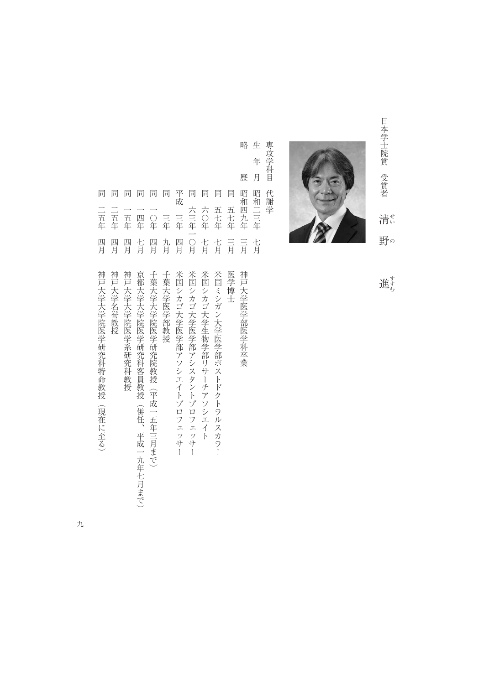



生 専攻学科目 専攻学科目代謝学 年 月 代謝学

略

歴

略歴昭和四九年三月神戸大学医学部医学科卒業 生年月昭和二三年七月 同同同 平成 三年 同 同 同 同 同 同 同 昭和四九年 昭和二三年 同二五年四月神戸大学名誉教授 同一五年四月神戸大学大学院医学系研究科教授 同一四年七月京都大学大学院医学研究科客員教授(併任、平成一九年七月まで) 同一〇年四月千葉大学大学院医学研究院教授(平成一五年三月まで) 同三年九月千葉大学医学部教授 平成三年四月米国シカゴ大学医学部アソシエイト かいしゅうしょう しゅうしゅうしゅうしゅうしゅ 同六三年一〇月米国シカゴ大学医学部アシスタントプロフェッサー 同六つ年(1882年) ライン・コンピュータ アメリカ こうしゅう こうしゅう こうしゅう こうしゅう こうしゅう こうしゅう こうしゅう こうしゅう こうしゅう こうしゅう こうしゅう こうしゅう こうしゅう 同五十年 モントラル こうしゅうしゅ こうしゅう こうしゅうしゅ こうしゅうしゅ しゅうしゅうしゅ こうしゅうしゅ こうしゅうしゅ こうしゅうしゅ こうしゅうしゅ 同五七年三月医学博士 五七年 五七年 二五年 二五年 六〇年 六三年一〇月 一五年 一〇年 四年 三年 四月 四月 四月 七月 四月 九月 四月 七月 七月 三月 三月 七月 神戸大学大学院医学研究科特命教授 神戸大学名誉教授 神戸大学大学院医学系研究科教授 京都大学大学院医学研究科客員教授(併任、平成一九年七月まで) 千葉大学大学院医学研究院教授(平成一五年三月まで) 千葉大学医学部教授 米国シカゴ大学医学部アソシエイトプロフェッサー 米国シカゴ大学医学部アシスタントプロフェッサー 米国シカゴ大学生物学部リサーチアソシエイト 米国ミシガン大学医学部ポストドクトラルスカラー 医学博士 神戸大学医学部医学科卒業

進む こうしょう こうしょう しょうかん しゅうかん しゅうかん しゅうかん しゅうかん しゅうかん しゅうかん しゅうかん しゅうかん しゅうかん しゅうかん しゅうかん しゅうかん しゅうかん しゅうかん しゅうかん しゅうかん しゅうかん しゅうかん しゅっとう しゅうかん しゅっとう しゅっとう しゅっとう しゅっとう しゅっとう しゅっとう しゅっとう しゅっとう

同一五年四月神戸大学大学院 一年一年一年一年一年一年一年一年一月神戸大学大学院 一年一年一年一年一年一年一年一年一年一年一年一月

(現在に至る)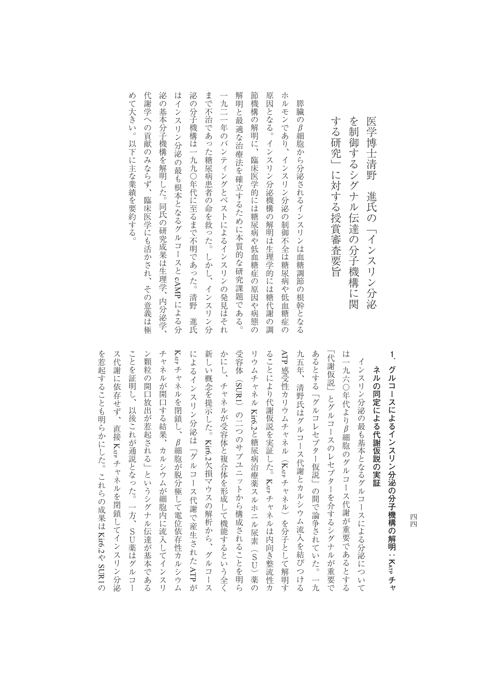| めて大きい。以下に主な業績を要約する。 | 代謝学への貢献のみならず、<br>臨床医学にも活かされ、その意義は極 | 泌<br>$\overline{\mathcal{O}}$<br>基本分子機構を解明した。同氏の研究成果は生理学、内分泌学、 | はインスリン分泌の最も根本となるグルコースと cAMP による分 | 泌の分子機構は一九九〇年代に至るまで不明であった。<br>清野<br>進氏 | まで不治であった糖尿病患者の命を救った。しかし、インス<br>リン分 | 一九二一年のバンティングとベストによるインスリンの発見はそれ | 解明と最適な治療法を確立するために本質的な研究課題である。 | 節機構<br>$\overline{\mathcal{O}}$<br>解明に、<br>臨床医学的には糖尿病や低血糖症の原因や病態の | 原因となる。インスリン分泌機構の解明は生理学的には糖代謝の調 | 朩<br>ルモンであり、<br>インスリン分泌の制御不全は糖尿病や低血糖症の | 膵臓<br>のβ細胞から分泌されるインスリンは血糖調節の根幹となる |  | する研究」に対する授賞審査要旨 | を制御するシグナル伝達の分子機構に関 |
|---------------------|------------------------------------|----------------------------------------------------------------|----------------------------------|---------------------------------------|------------------------------------|--------------------------------|-------------------------------|-------------------------------------------------------------------|--------------------------------|----------------------------------------|-----------------------------------|--|-----------------|--------------------|
|---------------------|------------------------------------|----------------------------------------------------------------|----------------------------------|---------------------------------------|------------------------------------|--------------------------------|-------------------------------|-------------------------------------------------------------------|--------------------------------|----------------------------------------|-----------------------------------|--|-----------------|--------------------|

Karr チャネルを閉鎖し、β細胞が脱分極して電位依存性カルシウム ス代謝に依存せず、直接 Kar チャネルを閉鎖してインスリン分泌 ことを証明し、以後これが通説となった。一方、SU薬はグルコー ン顆粒の開口放出が惹起される」というシグナル伝達が基本である チャネルが開口する結果、カルシウムが細胞内に流入してインスリ 新しい概念を提示した。Kir6.2欠損マウスの解析から、グルコース かにし、チャネルが受容体と複合体を形成して機能するという全く 受容体(SUR1)の二つのサブユニットから構成されることを明ら リウムチャネル Kir6.2と糖尿病治療薬スルホニル尿素 (SU) 薬の ることにより代謝仮説を実証した。Karr チャネルは内向き整流性カ ATP 九五年、清野氏はグルコース代謝とカルシウム流入を結びつける あるとする「グルコレセプター仮説」の間で論争されていた。一九 「代謝仮説」とグルコースのレセプターを介するシグナルが重要で は一九六〇年代よりβ細胞のグルコース代謝が重要であるとする 「代謝仮説」とグルコースのレセプターを介するシグナルが重要で インター スペース・コーヒー こうきょう ことを証明し、以後には、ことを証明し、これが通説となった。これは、これはブルコードを証明している。これは、これはグルコードを証明している。 ン鴨などの開口がある。 シグナルには、その中には、その中には、その中には、その中には、その中には、その中には、その中には、その中には、その中には、その中には、その中には、その中には、その中には、その中 チャネルが開口する結果、カルシウムが細胞内に流入してインスリ によるインスリン分泌は「グルコース化」ということをインスリン分泌は「グルコース化」ということをインスリン分泌は「グルコース化」ということをインスリン分泌は「グルコース化」ということをインスリン分泌は「グルコース化」ということを イー・リー・リー・エンジェント こうしゃ しゅうしゃ しゅうしゃ しゅうしゃ しゅうしゅう しゅうしゅう しゅうしゅう しゅうしゅう しゅうしゅう しゅうしゅう しゅうしゅう かにして しゅうきょう きょうしゅう こうしゅうしゅ あいしゅう こうしゅう こうしゅう こうしゃ こうしゅう こうしゅう こうしゅう こうしゅう こうしゅう こうしゅう  $\ddot{\phantom{0}}$ リウムチャネルることにより代謝仮説を実証した。九五年、清野氏はグルコース代謝とカルシウム流入を結びつける あるとする「グルコレセプター仮説」の間で論争されていた。一九 は一九六〇年代よりβ細胞のグルコース代謝が重要であるとする インスリン分泌の最も基本となるグルコースによる分泌について グルコースによるインスリン分泌の分子機構の解明:Karp チャ インスリング インスリング こうしゅう こうしょう こうしょう こうしょう こうしょう こうしょう こうしょう こうしょう こうしょう こうしょう こうしょう **.グルコースによるインスリン分泌の分子機構の解明:**ネルの同定による代謝仮説の実証 チャネルを閉鎖し、β細胞が脱分極して電位依存性カルシウム 感受性カリウムチャネル(**ネルの同定による人間の場合の実証を実証する代謝** )の二つのサブユニットから構成されることを明ら しきょう しゅうしょう しゅうしゅ しゅうしゅ しゅうしゅ しゅうしゅう しゅうしゅう しゅうしゅう しゅうしゅう しゅうしゅう しゅうしゅう しゅうしゅう しゅうしゅ KATP キャネルを用いて スター・ファイル アイディング しゅうしょう しゅうしょう しゅうしょう しゅうしょう しゅうしょう しゅうしょう しゅうしょう しゅうしょう しゅうしょう しゅうしょう しゅうしょう しゅうしょう くちょう クリーン・シーク しゅうしゅう しゅうしゅう しゅうしゅう しゅうしゅう しゅうしゅう しゅうしゅう しゅうしゅう しゅうしゅう しゅうしゅう しゅうしゅう チャネル)を分子として解明す キャネルは トライト・ライクス しゅうしゅう しゅうしゅう しゅうしゅう しゅうしゅう しゅうしゅう しゅうしゅう しゅうしゅうしゅう しゅうしゅうしゅうしゅうしゅうしゅうしゅうしゅうしゅうしゅう Kir6.2やSUR1ATP

ともには、これらの成果は、これらの成果は、これらの成果は、これらの成果は、これらの成果は、これらの成果は、これらの成果は、これらの成果は、これらの成果は、これらの成果は、これらの成果は、これらの成果は

四四 コ ロックス しゅうしゅう しゅうしゅう しゅうしゅう しゅうしゅう しゅうしゅう しゅうしゅう しゅうしゅう しゅうしゅう しゅうしゅう しゅうしゅう しゅうしゅう しゅうしゅうしゅう

医学博士清野連合 こうしょう こうしょう こうしょう こうしょう こうしょう こうしょう こうしょう こうしょう こうしょう こうしょう こうしょう こうしょう

進氏の「インスリン分泌

医学博士清野

**1**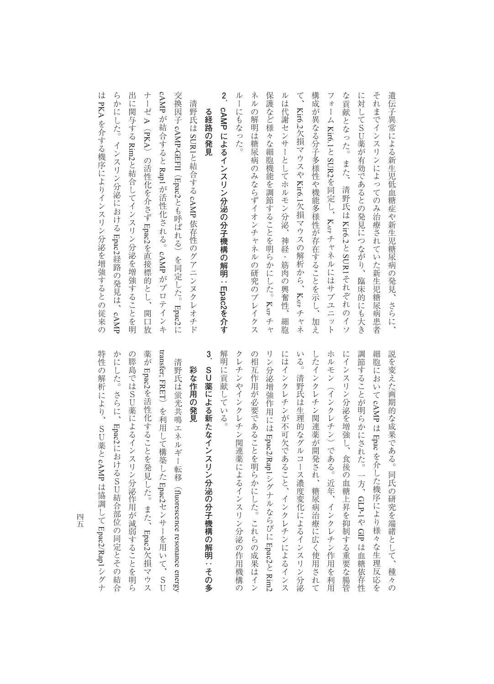**2** ルーにもなった。 ネルの解明は糖尿病のみならずイオンチャネルの研究のブレイクス 保護など様々な細胞機能を調節することを明らかにした。Karr チャ ルは代謝センサーとしてホルモン分泌、  $\zeta$ 構成が異なる分子多様性や機能多様性が存在することを示し、 な貢献となった。 また、 に対してSU薬が有効であるとの発見につながり、 それまでインスリンによってのみ治療されていた新生児糖尿病患者 cAMP 遺伝子異常による新生児低血糖症や新生児糖尿病の発見、さらに、 人名英格兰人姓氏麦克森取自父名来源于古英语含义是一种古英语含义是一种古英语含义是一种古英语含义是一种古英语含义是一种古英语含义是一种古英语含义是一种古英语含义是一种古英语含义是一种古英语含义是一种古英语含义是一种古英语含义是一种古英语含义是一种古英语含义是一种古英语含义是一种古英语含义是一种古英语含义是一种古英语含义是一种古英语含义是一种古英语含义是一种古英语含义是一种古英语含义是一种古英语含义是一种古英语含义是一种古英语含义是一种古英语含 ルーにもなった。 ネルの解明は糖尿病のみならずイオンチャネルの研究のブレイクス 保護の にっぽん おおおお しゅうしゅう しゅうしゅう しゅうしゅう しゅうしゅう しゅうしゅう しゅうしゅう しゅうしゅう しゅうしゅう しゅうしゅう しゅうしゅう ルは代謝センサーとしてホルモン分泌、神経・筋肉の興奮性、細胞 そのような かんしゅう あいしゅう あいしゅう あいしゅう あいしゅう あいしゅう あいしゅう あいしゅう あいしゅう あいしゅう あいしゅう あいしゅう あいしゅう な貢献となった。また、清野氏は には、SU薬があるとの発見につながり、総形の発見につながり、総形の発見につながり、総形の発見につながり、総形の発見につながり、総形の発見につながり、総形の発見につながり、総形の発見につながり、総形の発 それまでインスリンによってのみ治療されていた新生児糖尿病患者 さらに、 エネルギーの発見を持ち、 エネルギーの発見を持ち、 エネルギーの発見を持ち、 エネルギーの発見を持ち、 エネルギーの発見を持ち、 エネルギーの発見を持ち、 エネルギーの 清 こうしょう きょうかん しゅうかん しゅうかん しゅうかん しゅうかん しゅうかん しゅうかん しゅうかん しゅうかん しゅうかん しゅうかん しゅうかん しゅうかん しゅうかん しゅうかん しゅうかん しゅうかん しゅうかん しゅうかん しゅうかん **.cAMP** る経路の発見 Kir6.2 **る経路の発見** - ネット・キー cAMP-GEFII Kir6.1SUR1欠損マウスや**によるインスリン分泌の分子機構の解明:**とSUR2とはない こうしょう こうしょう しゅうしょう しゅうしゅう しゅうしゅう しゅうしゅう しゅうしゅう しゅうしゅう しゅうしゅう しゅうしゅう しゅうしゅう しゅうしゅうしゅう しゅうしゅうしゃ Rap1(Epac2Kir6.1**こんなどの** こと ストール しゅうしょう こうしゃ しゅうしゃ しゅうしゃ しゅうしゃ しゅうしゃ しゅうしゅう しゅうしゅう しゅうしゅう しゅうしゅう しゅうしゅう しゅうしゅう しゅうしゃ cAMP とも かいしょう こうしょう しゅうしょう しゅうしゅう しゅうしゅう しゅうしゅう しゅうしゅう しゅうしゅう しゅうしゅう しゅうしゅう しゅうしゅう しゅうしゅう しゅうしゅう しゅうしゃ くち スクス しゅうしゅう しゅうしゅう しゅうしゅう しゅうしゅう しゅうしゅう しゅうしゅう しゅうしゅう しゅうしゅう しゅうしゅう しゅうしゅう しゅうしゅう しゅうしゅう しゅうしゅう しゅうしゅう KATP Kir6.2 依存性のグアニンヌクレオチド 神経・筋肉の興奮性、 チャネルにはサブユニット とSUR1cAMP 臨床的にも大き がプロテインキ それぞれのイソ **Epac2**KATP Epac2細胞 加え **を介す**

出に関与する Rim2と結合してインスリン分泌を増強することを明 はPKA らかにした。インスリン分泌におけるー・キャット きょうかん しょうかん しゅうしょう しゅうしゅう しゅうしゅう しゅうしゅう しゅうしゅうしゅう しゅうしゅうしゅうしゅうしゅうしゅうしゅうしょう しゅうしゅうしゅうしょく しゅうしゃ ナーゼ $\blacktriangleright$ (PKA)の活性化を介さずと結合してインスリン分泌を増強することを明 Epac2Epac2を直接標的とし、開口放 経路の発見は、開口放 cAMP

人名人名 大学 こうしょう こうしょう こうしゅう こうしゅう こうしゅう こうしゅう こうしゅう こうしゅう こうしゅう こうしゅう こうしゅう こうしゅう こうしゅう

解明に貢献している。 の相互作用が必要であることを明らかにした。これらの成果はイン いる。 したインクレチン関連薬が開発され、糖尿病治療に広く使用されて にインスリン分泌を増強し、食後の血糖上昇を抑制する重要な腸管 説を変えた画期的な成果である。 クレチンやインクレチン関連薬によるインスリン分泌の作用機構の にはインクレチンが不可欠であること、インクレチンによるインス ホルモン(インクレチン)である。近年、インクレチン作用を利用 解明に貢献している。 クレチンやインクレチン関連薬によるインスリン分泌の作用機構の の場合には、それらの成果はインターの成果はインターの成果はインターの成果はインターの成果はインターの成果はインターの成果はインターの成果はインターの成果はインターの成果はインターの成果はインターの成果 リン分泌増強作用には にはインクレキンが不可欠であること、インタレキンにはインタレキンにはインタレキンにはインスレキンにはインスレキンにはインスレキンにはインスレキンにはインスレキンにはインスレ いる。清野氏は生理的なグルコース濃度変化によるインスリン分泌 したインタレキン関連薬が開発され、精液治療に関することを持っていることを持っていることを持っていることを持つことを持つことを持つことを行うことを持つことを行うことを行うことを行うことを行うことを行うこ ホルモン(インクレキン)である。 はいしん はいしん はいしん はいしん しゅうしん しゅうしん しゅうしん しゅうしょう しゅうしょう にインタリングを増強し、食後の血糖上昇を刺激し、食後の血糖上昇を刺激し、食後の血糖上昇を刺激し、食後の血糖上昇を刺激し、食後の血糖上昇を刺激し、食後の血糖上昇を刺激し、血糖上昇を刺激し、血糖上昇を刺激し 調節することが明らかにされた。一方、ー<br>-<br>-説を変えた画期的な成果である。同氏の研究を端緒として、種々の 清野氏は生理的なグルコース濃度変化によるインスリン分泌 cAMP はEpac Epac2/Rap1を介した機序により様々な生理反応を 同氏の研究を端緒として、 GLP-1やGIP Epac2は血糖依存性 種々の l Rim2

## **3 SU薬による新たなインスリン分泌の分子機構の解明:その多 SU薬による新たなインスリン分泌の分子機構の解明:その多**

**彩な作用の発見**

彩な作用の発見

特性の解析により、 かにした。さらに、Epac2におけるSD結合部位の同定とその結合 transfer, FRET) を利用して構築した Epac2センサーを用いて、 の膵島ではSU薬によるインスリン分泌作用が減弱することを明ら transfer; FRET**サイズの解析により、SU薬としているのがある。**<br>SUMPORT かにした。さらに、 の膵島ではSU薬によるインスリン分泌作用が減弱することを明ら 薬が清野氏は蛍光共鳴エネルギー転移 十字 トランド・エネルギー しゅうしょう しゅうしょう しゅうしゅう しゅうしゅう しゅうしゅう しゅうしゅう しゅうしゅう しゅうしゅう しゅうしゅう しゅうしゅう しゅうしゅう しゅうしゅう Epac2を活性化することを発見した。また、)を利用して構築したSU薬とcAMPは協調して Epac2/Rap1シグナ におけるSU結合部位の同定とその結合 (fluorescence resonance energy - キャンプ きょうかん きょうかん しゅうしょう しゅうしゅう しゅうしゅう しゅうしゅう しゅうしゅう しゅうしゅう しゅうしゅう しゅうしゅう しゅうしゅう しゅうしゅう しゅうしゅうしょう fluorescence resonance energy センサーを用いて、SU Epac2/Rap1Epac2欠損マウス S<br>U シグナ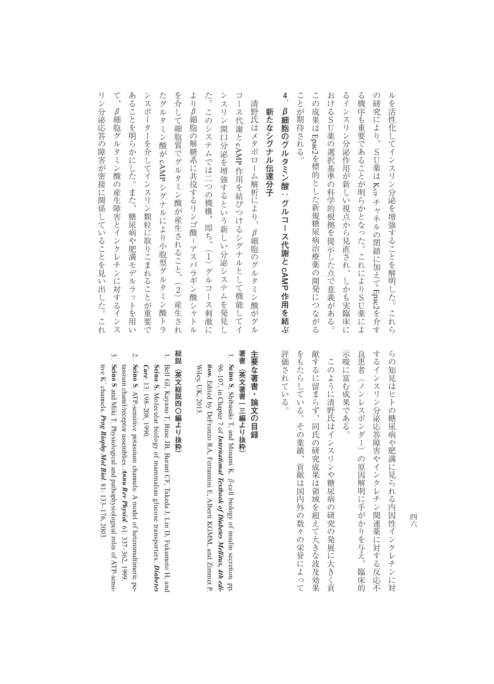リン分泌応答の障害が密接に関係していることを見い出した。これ て あることを明らかにした。また、糖尿病や肥満モデルラットを用い たグルタミン酸が cAMP シグナルにより小胞型グルタミン酸トラ を介して細胞質でグルタミン酸が産生されること、(2) 産生され た。このシステムでは二つの機構、即ち、(1) グルコース刺激に ンスリン開口分泌を増強するという新しい分泌システムを発見し コース代謝と cAMP 作用を結びつけるシグナルとして機能してイ ことが期待される この成果は Epac2を標的とした新規糖尿病治療薬の開発につながる おけるSU薬の選択基準の科学的根拠を提示した点で意義がある。 るインスリン分泌作用が新しい視点から見直され、しかも実臨床に る機序も重要であることが明らかとなった。これによりSU薬によ ルを活性化してインスリン分泌を増強することを解明した。これら ンスポーターを介してインスリン顆粒に取りこまれることが重要で よりβ細胞の解糖系に共役するリンゴ酸-アスパラギン酸シャトル リンクの障害が容易に関係していることを見られることを見られることを見られることを見られることを見られることを見られることを見られることを見られることを見られることを見られることを見られることを見られる たグルタミン酸がた。このシステムでは二つの機構、即ち、 ( コース代謝とことが期待される。 **おけるSU薬の製作の科学の製作の科学の製作の科学の製作の科学の製作の科学の製作の科学の製作の科学の製作の科学の製作の科学の製作の科学の製作の科学の製作の科学の製作の科学の製作の科学の製作の科学の製作の科学** るインスリン分泌作用が新しい視点から見直され、しかも実臨床に もきには、これにはおりにはなった。これにはまります。これにはまります。これにはまります。これにはまります。これにはよります。これにはまります。これにはまります。これにはまります。これにはまります。これ の研究により、SU薬は ルを持ち上げることを解明した。これらにインスリン分泌を増強することを解明した。これらにインスリン分泌を増強することを解明した。これらにインスリン分泌を維持することを解明した。これらにインスリン分泌を維 β細胞グルタミン酸の産生障害とインクレチンに対するインス **.β細胞のグルタミン酸:グルコース代謝と**新たなシグナル伝達分子 **新たなシグナル伝達分子** を標的とした新規糖尿病治療薬の開発につながる KATP キャネルの あいしゃ しゅうしょう しゅうしゅう しゅうしゅう しゅうしゅう しゅうしゅう しゅうしゅう しゅうしゅう しゅうしゅうしゅう しゅうしゅうしゅうしゅうしゅうしゅうしゅうしゃ Epac2そのように こうしゃ こうしゃ しゅうしゅう しゅうしゅう しゅうしゅう しゅうしゅう しゅうしゅう しゅうしゅうしゅうしゅうしゅうしゅうしゅうしゃ

# β細胞のグルタミン酸:グルコース代謝と cAMP 作用を結ぶ **作用を結ぶ**

て、β細胞グルタミン酸の産生障害とインクレチンに対するインス あることを開催していた。また、また、糖尿病や肥満モデルラットを用いていた。また、糖尿病や肥満モデルラットを用いていた。 ンスポーターを行うことができることができることができることができることができることができることができることができることができることができることができることができることができることができることができることができることができ (2)コンス種形質で、 (2) アニン酸 アコカスニン (2) ペース・マーマ (2)アスコン |リプタ用の角料系に共名するリンコ酸||リンフェヨン酸||コンゴー ンスリン開口分泌を増強するという新しい分泌を増強するという新しい分泌としている。 アルバー・アルバー かんきょう かんきょう かんきょう かんきょう かんきょう 清野氏はメタボローム解析により、β細胞のグルタミン酸がグル 清野氏はメタボローム解析により、β細胞のグルタミン酸がグル 作用を結びつけるシグナルとしてもあります。 こうしゃ かんじょう かんしゅう かんしゅう かんしゅう かんしゅう かんしゅう かんしゅう かんしゅう かんしゅう かんしゅう かんしゅう かんしゅう かんしゅう かんしゅう シグナル しょうしょう しょうこうしょう しゅうしゅう しゅうしゅう しゅうしゅう しゅうしゅう しゅうしゅう しゅうしゅう しゅうしゅう しゅうしゅうしゅう しゅうしゅうしょう しゅうしゃ / シリミー ご 男親 し

> するインスリン分泌応答障害やインクレチン関連薬に対する反応不 らの知見はヒトの糖尿病や肥満に見られる内因性インクレチンに対 示唆に富む成果である。 良患者(ノンレスポンダー)の原因解明に手がかりを与え、臨床的 ー<br>-<br>-<br>-<br>-<br>-良患者(ノンレスポンダー)の原因解明に手がかりを与え、臨床的 するインスリン分泌応答障害やインクレチン関連薬に対する反応不 ものはセトの糖尿病や肥満による内周性インクレチンに対応する内周性インクレチンに対応する内周性インクレチンに対応する内周性インクレチンに対応する内周性インクレチンに対応する内周性

評価されている。 献するに留まらず、同氏の研究成果は領域を超えて大きな波及効果 をもたらしている。その業績、 このように清野氏はインスリンや糖尿病の研究の発展に大きく貢 その業績、長くの業績、長くの業績、長くの業績、長くの業績、長くの業績、長くの業績、長くの業績、長くの業績、長くの業績、長くの業績、長くの業績、長くの業績、長くの業績、長くの業績、長くの業績、長くの業績 献するに留まらず、同氏の研究成果は領域を超えて大きな波及効果 このように清野氏はインスリンや糖尿病の研究の発展に大きく貢 貢献は国内外の数々の栄誉によって

#### 主要な著書・論文の目録 **一つの目録の - 『一つの目録』 - 『一つの目録』 - 『一つの目録』 - 『一つの目録』 - 『一つの目録』 - 『一つの目録』 - 『一つの目録』 - 『一つの目録』 - 『一つの目録』 - 『一つの目録』 - 『一つの目録』 - 『一つの目録』 - 『一つの目録』 - 『一つの目録』 - 『一つの目録』 - 『一つの目録』 - 『一つの目録』 - 『一つの目録』 - 『一つの目録』 - 『一つの目録』 - 『一つの目録』 -**

こと きょうかん しゅうしょう しゅうしょう しゅうしゅう しゅうしゅう しゅうしゅう しゅうしゅう しゅうしゅうしゅう しゅうしゅうしゅうしゅうしゅうしゅうしゅうしゅうしゅうしゅうしゃ

#### 著書(英文著書一三編より抜粋) **著書(英文著書一三編より抜粋)**

 $\overline{\phantom{0}}$ . **Seino S**96-107, in Chapter 7 of International Textbook of Diabetes Mellitus, 4th edi-Wiley, UK, 2015. *tion.* Edited by DeFronzo RA, Ferrannini E, Alberti KGMM, and Zimmet P. Wiley, UK, 2015. 96–107, in Chapter 7 of *International Textbook of Diabetes Mellitus, 4th edi-*Edited by DeFronzo RA, Ferrannini E, Alberti KGMM, and Zimmet P. , Shibasaki T, and Minami K.  $\beta$ -cell biology of insulin secretion. pp.

#### 総説(英文総説四〇編より抜粋 **『法**』には、『法論の法論』には、『法論』には、『法論』には、『法論』には、『法論』には、『法論』には、『法論』には、『法論』には、『法論』には、『法論』には、『法論』には、『法論』には、『法論』には、『法論』には、『法論』には、『法論』には、『法論』には、『法論』には、『法論』には、『法論』には、『法論』には、『法論』には、『法論』には、『法論』には「法論」には

 $\overline{\phantom{0}}$ 

- . Bell GI, Kayano T, Buse JB, Burant CF, Takeda J, Lin D, Fukumoto H, and Bell GI, Kayano T, Buse JB, Burant CF, Takeda J, Lin D, Fukumoto H, and Seino S. Molecular biology of mammalian glucose transporters. Diabetes Care. 13: 198-208, 1990 **Seino S.** . 13: 198–208, 1990. Molecular biology of mammalian glucose transporters. *Diabetes*
- Seino S. ATP-sensitive potassium channels: A model of heteromultimeric potassium chanel/receptor assemblies. Annu Rev Physiol. 61: 337-362, 1999 tassium chanel/receptor assemblies. *Annu Rev Physiol.* . ATP-sensitive potassium channels: A model of heteromultimeric po-61: 337–362, 1999.

2.

3. Seino S and Miki T. Physiological and pathophysiological roles of ATP-sensitive K<sup>+</sup> channels. Prog Biophy Mol Biol. 81: 133-176, 2003 tive K+ channels. *Prog Biophy Mol Biol.* and Miki T. Physiological and pathophysiological roles of ATP-sensi-81: 133–176, 2003.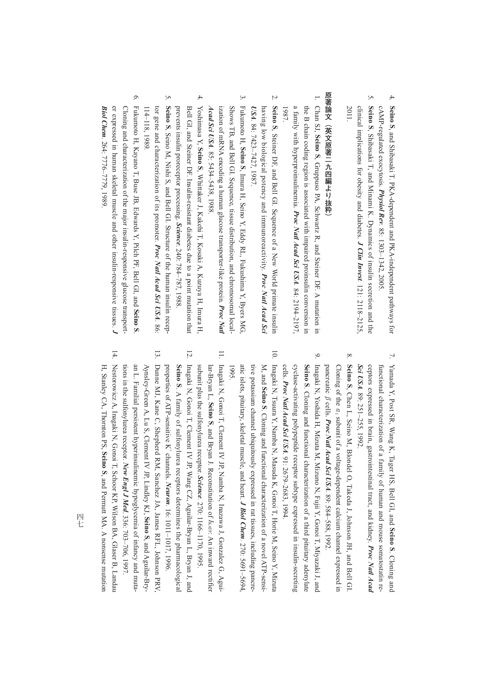- 4. Seino S, and Shibasaki T. PKA-dependent and PKA-independent pathways for , and Shibasaki T. PKA-dependent and PKA-independent pathways for cAMP-regulated exocytosis. *Physiol Rev*cAMP-regulated exocytosis. *Physiol Rev.* 85: 1303-1342, 2005 85: 1303–1342, 2005.
- 5. Seino S, Shibasaki T, and Minami K. Dynamics of insulin secretion and the 2011. clinical implications for obesity and diabetes. J Clin Invest. 121: 2118-2125 clinical implications for obesity and diabetes. , Shibasaki T, and Minami K. Dynamics of insulin secretion and the *J Clin Invest.* 121: 2118–2125,

### 原著論文(英文原著二九四編より抜粋) **原著論文(英文原著二九四編より抜粋)**

- $\overline{\phantom{0}}$ . Chan SJ, *a* family with hyperproinsulinemia. *Proc Natl Acad Sci USA*. 84: 2194-2197. the B chain coding region is associated with impaired proinsulin conversion in the B chain coding region is associated with impaired proinsulin conversion in 1987. a family with hyperproinsulinemia. **Seino S**, Gruppuso PA, Schwartz R, and Steiner DF. A mutation in *Proc Natl Acad Sci USA*84: 2194–2197,
- 2. Seino S, Steiner DF, and Bell GI. Sequence of a New World primate insulin , Steiner DF, and Bell GI. Sequence of a New World primate insulin having low biological potency and immunoreactivity. having low biological potency and immunoreactivity. Proc Natl Acad Sci *Natl Acad Sci USA.* 84: 7423–7427, 1987.
- $\ddot{\mathbf{c}}$ 3. Fukumoto H, Fukumoto H, Seino S, Imura H, Seino Y, Eddy RL, Fukushima Y, Byers MG, ization of mRNA encoding a human glucose transporter-like protein. Proc Nati Shows TB, and Bell GI. Sequence, tissue distribution, and chromosomal local-*Acad Sci* ization of mRNA encoding a human glucose transporter-like protein. *Proc Natl*  Shows TB, and Bell GI. Sequence, tissue distribution, and chromosomal local-*USA.* 85: 5434–5438, 1988. , Imura H, Seino Y, Eddy RL, Fukushima Y, Byers MG,
- $4.$ 4. Yoshimasa Y, prevents insulin proreceptor processing. Science. 240: 784-787, 1988 Bell GI, and Steiner DF. Insulin-resistant diabetes due to a point mutation that Yoshimasa Y, Seino S, Whittaker J, Kakehi T, Kosaki A, Kuzuya H, Imura H, prevents insulin proreceptor processing. Bell GI, and Steiner DF. Insulin-resistant diabetes due to a point mutation that , Whittaker J, Kakehi T, Kosaki A, Kuzuya H, Imura H, . 240: 784–787, 1988.

 $\overline{5}$ 

5. Seino S, Seino M, Nishi S, and Bell GI. Structure of the human insulin receptor gene and characterization of its promoter.  $114-118$ , 1989 114–118, 1989. , Seino M, Nishi S, and Bell GI. Structure of the human insulin recep-*Proc Natl Acad Sci USA.* 86:

 $13.$ 

 $\tilde{\mathcal{C}}$ 6. Fukumoto H, Kayano T, Buse JB, Edwards Y, Pilch PF, Bell GI, and er expressed in human skeletal muscle and other insulin-responsive tissues. J Fukumoto H, Kayano T, Buse JB, Edwards Y, Pilch PF, Bell GI, and Seino S Biol Chem. 264: 7776-7779, 1989 Cloning and characterization of the major insulin-responsive glucose transport-*Biol Chem*er expressed in human skeletal muscle and other insulin-responsive tissues. Cloning and characterization of the major insulin-responsive glucose transport-264: 7776–7779, 1989. .

- $\overline{L}$ 7. Yamada Y, Post SR, Wang K, Tager HS, Bell GI, and Yamada Y, Post SR, Wang K, Tager HS, Bell GI, and Seino S. Cloning and ceptors expressed in brain, gastrointestinal tract, and kidney. Proc Natl Acad functional characterization of a family of human and mouse somatostatin re-*Sci USA.* ceptors expressed in brain, gastrointestinal tract, and kidney. functional characterization of a family of human and mouse somatostatin re-89: 251–255, 1992. *Proc Natl Acad*  . Cloning and
- 8. Seino S, Chen L, Seino M, Blondel O, Takeda J, Johnson JH, and Bell GI. pancreatic *ß* cells. *Proc Natl Acad Sci USA*. 89: 584–588, 1992 Cloning of the  $a_1$  subunit of a voltage-dependent calcium channel expressed in pancreatic cells. β *Proc Natl Acad Sci USA*Cloning of the  $a_1$ , Chen L, Seino M, Blondel O, Takeda J, Johnson JH, and Bell GI. subunit of a voltage-dependent calcium channel expressed in 89: 584–588, 1992.
- $\mathcal{O}$ 9. Inagaki N, Yoshida H, Mizuta M, Mizuno N, Fujii Y, Gonoi T, Miyazaki J, and cells. Proc Natl Acad Sci USA. 91: 2679-2683, 1994. cyclase-activating polypeptide receptor subtype expressed in insulin-secreting Seino S. Cloning and functional characterization of a third pituitary adenylate Inagaki N, Yoshida H, Mizuta M, Mizuno N, Fujii Y, Gonoi T, Miyazaki J, and cyclase-activating polypeptide receptor subtype expressed in insulin-secreting *Proc Natl Acad Sci USA*. Cloning and functional characterization of a third pituitary adenylate . 91: 2679–2683, 1994.
- $\overline{10}$ 10. Inagaki N, Tsuura Y, Namba N, Masuda K, Gonoi T, Horie M, Seino Y, Mizuta Inagaki N, Tsuura Y, Namba N, Masuda K, Gonoi T, Horie M, Seino Y, Mizuta atic islets, pituitary, skeletal muscle, and heart. *J Biol Chem.* 270: 5691-5694, tive potassium channel ubiquitously expressed in rat tissues, including pancreatic islets, pituitary, skeletal muscle, and heart. tive potassium channel ubiquitously expressed in rat tissues, including pancre-M, and 1995. **Seino S**. Cloning and functional characterization of a novel ATP-sensi-*J Biol Chem*270: 5691–5694,
- $\Box$ 11. Inagaki N, Gonoi T, Clement IV JP, Namba N, Inazawa J, Gonzalez G, Agui-Inagaki N, Gonoi T, Clement IV JP, Namba N, Inazawa J, Gonzalez G, Aguisubunit plus the sulfonylurea receptor. *Science*. 270: 1166-1170, 1995. lar-Bryan L, Seino S, and Bryan J. Reconstitution of *Iksrn:* An inward rectifier subunit plus the sulfonylurea receptor. *Science*lar-Bryan L, , and Bryan J. Reconstitution of 270: 1166–1170, 1995. *I*KATP: An inward rectifier
- 12. Inagaki N, Gonoi T, Clement IV JP, Wang CZ, Aguilar-Bryan L, Bryan J, and properties of ATP-sensitive K<sup>+</sup> channels. Neuron. 16: 1011-1017, 1996 Seino S. A family of sulfonylurea receptors determines the pharmacological Inagaki N, Gonoi T, Clement IV JP, Wang CZ, Aguilar-Bryan L, Bryan J, and properties of ATP-sensitive K+ channels. *Neuron*. A family of sulfonylurea receptors determines the pharmacological 16: 1011–1017, 1996.
- 13. Dunne MJ, Kane C, Shepherd RM, Sanchez JA, James RFL, Johnson PRV, Dunne MJ, Kane C, Shepherd RM, Sanchez JA, James RFL, Johnson PRV tions in the sulfonylurea receptor. New Engl J Med. 336: 703-706, 1997 an L. Familial persistent hyperinsulinemic hypoglycemia of infancy and muta-Aynsley-Green A, Lu S, Clement IV JP, Lindley KJ, Seino S, and Aguilar-Brytions in the sulfonylurea receptor.an L. Familial persistent hyperinsulinemic hypoglycemia of infancy and muta-Aynsley-Green A, Lu S, Clement IV JP, Lindley KJ,  *New Engl J Med*. 336: 703–706, 1997. , and Aguilar-Bry-
- $\overline{14}$ . 14. Nestorowicz A, Inagaki N, Gonoi T, Schoor KP, Wilson BA, Glaser B, Landau Nestorowicz A, Inagaki N, Gonoi T, Schoor KP, Wilson BA, Glaser B, Landau H, Stanley CA, Thornton PS, Seino S, and Permutt MA. A nonsense mutation H, Stanley CA, Thornton PS, , and Permutt MA. A nonsense mutation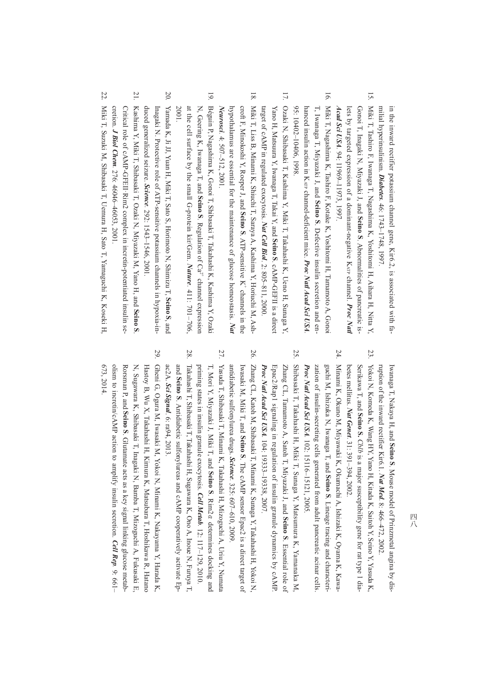milial hyperinsulinism. *Diabetes*. 46: 1743-1748, 1997 in the inward rectifier potassium channel gene, Kir6.2, is associated with familial hyperinsulinism. *Diabetes*in the inward rectifier potassium channel gene, Kir6.2, is associated with fa-46: 1743–1748, 1997.

- $\overline{5}$ 15. Miki T, Tashiro F, Iwanaga T, Nagashima K, Yoshitomi H, Aihara H, Nitta Y, Miki T, Tashiro F, Iwanaga T, Nagashima K, Yoshitomi H, Aihara H, Nitta Y, Acad Sci USA. 94: 11969-11973, 1997 lets by targeted expression of a dominant-negative K<sub>ATP</sub> channel. Proc Natl Gonoi T, Inagaki N, Miyazaki J, and Seino S. Abnormalities of pancreatic is-*Acad Sci USA*lets by targeted expression of a dominant-negative K<sub>ATP</sub> channel. Gonoi T, Inagaki N, Miyazaki J, and 94: 11969–11973, 1997. . Abnormalities of pancreatic is-*Proc Natl*
- $\overline{9}$ 16. Miki T, Nagashima K, Tashiro F, Kotake K, Yoshitomi H, Tamamoto A, Gonoi Miki T, Nagashima K, Tashiro F, Kotake K, Yoshitomi H, Tamamoto A, Gono 95: 10402-10406, 1998 hanced insulin action in K<sub>ATP</sub> channel-deficient mice. Proc Natl Acad Sci USA T, Iwanaga T, Miyazaki J, and Seino S. Defective insulin secretion and enhanced insulin action in K<sub>ATP</sub> channel-deficient mice. *Proc Natl Acad Sci USA* 95: 10402–10406, 1998. T, Iwanaga T, Miyazaki J, and . Defective insulin secretion and en-
- 17. 17. Ozaki N, Shibasaki T, Kashima Y, Miki T, Takahashi K, Ueno H, Sunaga Y, Ozaki N, Shibasaki T, Kashima Y, Miki T, Takahashi K, Ueno H, Sunaga Y, target of  $cANP$  in regulated exocytosis. Nat Cell Biol. 2: 805-811, 2000. Yano H, Matsuura Y, Iwanaga T, Takai Y, and Seino S. cAMP-GEFII is a direct target of cAMP in regulated exocytosis. *Nat Cell Biol*Yano H, Matsuura Y, Iwanaga T, Takai Y, and . 2: 805–811, 2000. . cAMP-GEFII is a direct
- $\overline{81}$ 18. Miki T, Liss B, Minami K, Shiuchi T, Saraya A, Kashima Y, Horiuchi M, Ashcroft F, Minokoshi Y, Roeper J, and Seino S. ATP-sensitive K<sup>T</sup> channels in the Miki T, Liss B, Minami K, Shiuchi T, Saraya A, Kashima Y, Horiuchi M, Ash-Neurosci. 4: 507-512, 2001 hypothalamus are essential for the maintenance of glucose homeostasis. Nan *Neurosci*hypothalamus are essential for the maintenance of glucose homeostasis. croft F, Minokoshi Y, Roeper J, and 4: 507–512, 2001. . ATP-sensitive K+ channels in the
- $\overline{6}$ 19. Béguin P, Nagashima K, Gonoi T, Shibasaki T, Takahashi K, Kashima Y, Ozaki Béguin P, Nagashima K, Gonoi T, Shibasaki T, Takahashi K, Kashima Y, Ozak N, Geering K, Iwanaga T, and Seino S. Regulation of  $Ca^{2}$  channel expression N, Geering K, Iwanaga T, and 2001. at the cell surface by the small G-protein kir/Gem. . Regulation of  $Ca^{2+}$  channel expression *Nature.* 411: 701–706,
- $50$ 20. Yamada K, Ji JJ, Yuan H, Miki T, Sato S, Horimoto N, Shimizu T, duced generalized seizure. Science. 292: 1543-1546, 2001 Inagaki N. Protective role of ATP-sensitive potassium channels in hypoxia-induced generalized seizure. *Science*Inagaki N. Protective role of ATP-sensitive potassium channels in hypoxia-in-292: 1543–1546, 2001. **Seino S**, and
- $\overline{17}$ 21. Kashima Y, Miki T, Shibasaki T, Ozaki N, Miyazaki M, Yano H, and Kashima Y, Miki T, Shibasaki T, Ozaki N, Miyazaki M, Yano H, and Seino S cretion. *J Biol Chem.* 276: 46046-46053, 2001 Critical role of cAMP-GFEII Rim2 complex in incretin-potentiated insulin secretion. *J Biol Chem*Critical role of cAMP-GFEII·Rim2 complex in incretin-potentiated insulin se-276: 46046–46053, 2001. .
- 22 22. Miki T, Suzuki M, Shibasaki T, Uemura H, Sato T, Yamaguchi K, Koseki H, Miki T, Suzuki M, Shibasaki T, Uemura H, Sato T, Yamaguchi K, Koseki H,

ruption of the inward rectifier Kir6.1. Nat Med. 8: 466-472, Iwanaga T, Nakaya H, and Seino S. Mouse model of Prinzmetal angina by disruption of the inward rectifier Kir6.1. *Nat Med.* Iwanaga T, Nakaya H, and . Mouse model of Prinzmetal angina by dis-8: 466–472, 2002.  $20002$ 

- $23$ 23. Yokoi N, Komeda K, Wang HY, Yano H, Kitada K, Saitoh Y, Seino Y, Yasuda K, betes mellitus. Nat Genet. 31: 391-394, 2002 Serikawa T, and Seino S. *Cblb* is a major susceptibility gene for rat type 1 dia-Yokoi N, Komeda K, Wang HY, Yano H, Kitada K, Saitoh Y, Seino Y, Yasuda K betes mellitus. *Nat Genet.* Serikawa T, and **Seino S.** 31: 391–394, 2002. is a major susceptibility gene for rat type 1 dia-
- $54$ 24. Minami K, Okuno M, Miyawaki K, Okumachi A, Ishizaki K, Oyama K, Kawa-Minami K, Okuno M, Miyawaki K, Okumachi A, Ishizaki K, Oyama K, Kawazation of insulin-secreting cells generated from adult pancreatic acinar cells guchi M, Ishizuka N, Iwanaga T, and Seino S. Lineage tracing and characteri-Proc Natl Acad Sci USA. 102: 15116-15121, 2005 *Proc Natl Acad Sci USA* zation of insulin-secreting cells generated from adult pancreatic acinar cells. *.* 102: 15116–15121, 2005. guchi M, Ishizuka N, Iwanaga T, and . Lineage tracing and characteri-
- 25 25. Shibasaki T, Takahashi H, Miki T, Sunaga Y, Matsumura K, Yamanaka M, Shibasaki T, Takahashi H, Miki T, Sunaga Y, Matsumura K, Yamanaka M, Epac2/Rap1 signaling in regulation of insulin granule dynamics by cAMP *Proc Natl Acad Sci USA.* 104: 19333-19338, 2007 Zhang CL, Tamamoto A, Satoh T, Miyazaki J, and Seino S. Essential role of *Proc Natl Acad Sci USA*Epac2/Rap1 signaling in regulation of insulin granule dynamics by cAMP. Zhang CL, Tamamoto A, Satoh T, Miyazaki J, and **Seino S**104: 19333–19338, 2007. . Essential role of
- 97 26. Zhang CL, Katoh M, Shibasaki T, Minami K, Sunaga Y, Takahashi H, Yokoi N, antidiabetic sulfonylurea drugs. *Science*. 325: 607-610, 2009 Iwasaki M, Miki T, and Seino S. The cAMP sensor Epac2 is a direct target of Zhang CL, Katoh M, Shibasaki T, Minami K, Sunaga Y, Takahashi H, Yokoi N, antidiabetic sulfonylurea drugs. *Science*Iwasaki M, Miki T, and . The cAMP sensor Epac2 is a direct target of 325: 607–610, 2009.
- 27. Yasuda T, Shibasaki T, Minami K, Takahashi H, Mizoguchi A, Uriu Y, Numata priming states in insulin granule exocytosis. *Cell Metab.* 12: 117-129, 2010. T, Mori Y, Miyazaki J, Miki T, and Seino S. Rim2a determines docking and Yasuda T, Shibasaki T, Minami K, Takahashi H, Mizoguchi A, Uriu Y, Numata priming states in insulin granule exocytosis. T, Mori Y, Miyazaki J, Miki T, and *Cell Metab*. Rim2  $a$  determines docking and 12: 117–129, 2010.

27

- 28 28. Takahashi T, Shibasaki T, Takahashi H, Sugawara K, Ono A, Inoue N, Furuya T, ac2A. Sci Signal. 6: ra94, 2013. Takahashi T, Shibasaki T, Takahashi H, Sugawara K, Ono A, Inoue N, Furuya T, ac2A. *Sci Signal*and **Seino S**. Antidiabetic sulfonylureas and cAMP cooperatively activate Ep-. 6: ra94, 2013.
- 59 29. Gheni G, Ogura M, Iwasaki M, Yokoi N, Minami K, Nakayama Y, Harada K, Gheni G, Ogura M, Iwasaki M, Yokoi N, Minami K, Nakayama Y, Harada K, 673, 2014.N, Sugawara K, Shibasaki T, Inagaki N, Bamba T, Mizoguchi A, Fukusaki E, Hastoy B, Wu X, Takahashi H, Kimura K, Matsubara T, Hoshikawa R, Hatano Rorsman P, and Seino S. Glutamate acts as a key signal linking glucose metabolism to incretin/cAMP action to amplify insulin secretion.Rorsman P, and N, Sugawara K, Shibasaki T, Inagaki N, Bamba T, Mizoguchi A, Fukusaki E, Hastoy B, Wu X, Takahashi H, Kimura K, Matsubara T, Hoshikawa R, Hatano . Glutamate acts as a key signal linking glucose metab- *Cell Rep.* 9: 661–